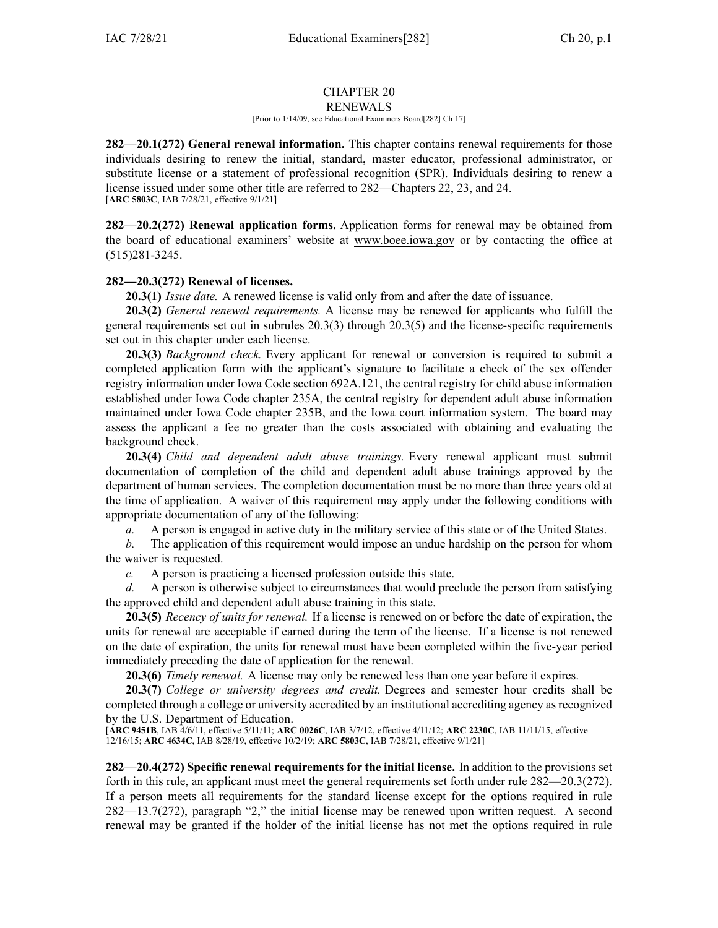# CHAPTER 20

#### RENEWALS [Prior to 1/14/09, see Educational Examiners Board[282] Ch 17]

**282—20.1(272) General renewal information.** This chapter contains renewal requirements for those individuals desiring to renew the initial, standard, master educator, professional administrator, or substitute license or <sup>a</sup> statement of professional recognition (SPR). Individuals desiring to renew <sup>a</sup> license issued under some other title are referred to [282—Chapters](https://www.legis.iowa.gov/docs/iac/chapter/282.22.pdf) 22, [23](https://www.legis.iowa.gov/docs/iac/chapter/282.23.pdf), and [24](https://www.legis.iowa.gov/docs/iac/chapter/282.24.pdf). [**ARC [5803C](https://www.legis.iowa.gov/docs/aco/arc/5803C.pdf)**, IAB 7/28/21, effective 9/1/21]

**282—20.2(272) Renewal application forms.** Application forms for renewal may be obtained from the board of educational examiners' website at [www.boee.iowa.gov](http://www.boee.iowa.gov) or by contacting the office at (515)281-3245.

## **282—20.3(272) Renewal of licenses.**

**20.3(1)** *Issue date.* A renewed license is valid only from and after the date of issuance.

**20.3(2)** *General renewal requirements.* A license may be renewed for applicants who fulfill the general requirements set out in subrules [20.3\(3\)](https://www.legis.iowa.gov/docs/iac/rule/282.20.3.pdf) through [20.3\(5\)](https://www.legis.iowa.gov/docs/iac/rule/282.20.3.pdf) and the license-specific requirements set out in this chapter under each license.

**20.3(3)** *Background check.* Every applicant for renewal or conversion is required to submit <sup>a</sup> completed application form with the applicant's signature to facilitate <sup>a</sup> check of the sex offender registry information under Iowa Code section [692A.121](https://www.legis.iowa.gov/docs/ico/section/692A.121.pdf), the central registry for child abuse information established under Iowa Code chapter [235A](https://www.legis.iowa.gov/docs/ico/chapter/235A.pdf), the central registry for dependent adult abuse information maintained under Iowa Code chapter [235B](https://www.legis.iowa.gov/docs/ico/chapter/235B.pdf), and the Iowa court information system. The board may assess the applicant <sup>a</sup> fee no greater than the costs associated with obtaining and evaluating the background check.

**20.3(4)** *Child and dependent adult abuse trainings.* Every renewal applicant must submit documentation of completion of the child and dependent adult abuse trainings approved by the department of human services. The completion documentation must be no more than three years old at the time of application. A waiver of this requirement may apply under the following conditions with appropriate documentation of any of the following:

*a.* A person is engaged in active duty in the military service of this state or of the United States.

*b.* The application of this requirement would impose an undue hardship on the person for whom the waiver is requested.

*c.* A person is practicing <sup>a</sup> licensed profession outside this state.

*d.* A person is otherwise subject to circumstances that would preclude the person from satisfying the approved child and dependent adult abuse training in this state.

**20.3(5)** *Recency of units for renewal.* If <sup>a</sup> license is renewed on or before the date of expiration, the units for renewal are acceptable if earned during the term of the license. If <sup>a</sup> license is not renewed on the date of expiration, the units for renewal must have been completed within the five-year period immediately preceding the date of application for the renewal.

**20.3(6)** *Timely renewal.* A license may only be renewed less than one year before it expires.

**20.3(7)** *College or university degrees and credit.* Degrees and semester hour credits shall be completed through <sup>a</sup> college or university accredited by an institutional accrediting agency asrecognized by the U.S. Department of Education.

[**ARC [9451B](https://www.legis.iowa.gov/docs/aco/arc/9451B.pdf)**, IAB 4/6/11, effective 5/11/11; **ARC [0026C](https://www.legis.iowa.gov/docs/aco/arc/0026C.pdf)**, IAB 3/7/12, effective 4/11/12; **ARC [2230C](https://www.legis.iowa.gov/docs/aco/arc/2230C.pdf)**, IAB 11/11/15, effective 12/16/15; **ARC [4634C](https://www.legis.iowa.gov/docs/aco/arc/4634C.pdf)**, IAB 8/28/19, effective 10/2/19; **ARC [5803C](https://www.legis.iowa.gov/docs/aco/arc/5803C.pdf)**, IAB 7/28/21, effective 9/1/21]

**282—20.4(272) Specific renewal requirements for the initial license.** In addition to the provisions set forth in this rule, an applicant must meet the general requirements set forth under rule [282—20.3](https://www.legis.iowa.gov/docs/iac/rule/282.20.3.pdf)(272). If <sup>a</sup> person meets all requirements for the standard license excep<sup>t</sup> for the options required in rule [282—13.7](https://www.legis.iowa.gov/docs/iac/rule/282.13.7.pdf)(272), paragraph "2," the initial license may be renewed upon written request. A second renewal may be granted if the holder of the initial license has not met the options required in rule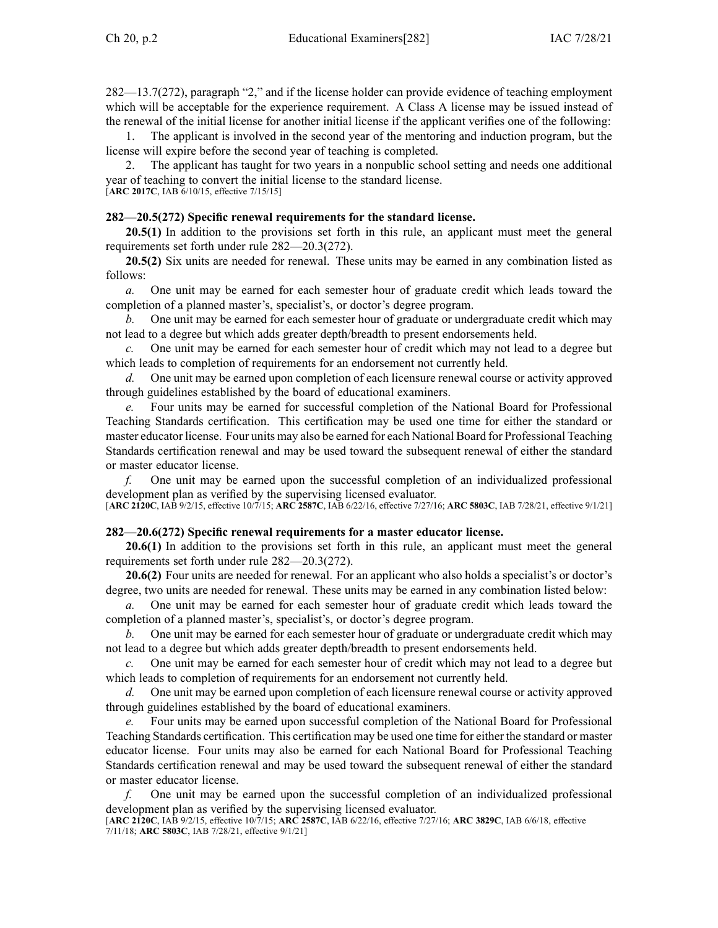[282—13.7](https://www.legis.iowa.gov/docs/iac/rule/282.13.7.pdf)(272), paragraph "2," and if the license holder can provide evidence of teaching employment which will be acceptable for the experience requirement. A Class A license may be issued instead of the renewal of the initial license for another initial license if the applicant verifies one of the following:

1. The applicant is involved in the second year of the mentoring and induction program, but the license will expire before the second year of teaching is completed.

2. The applicant has taught for two years in <sup>a</sup> nonpublic school setting and needs one additional year of teaching to convert the initial license to the standard license. [**ARC [2017C](https://www.legis.iowa.gov/docs/aco/arc/2017C.pdf)**, IAB 6/10/15, effective 7/15/15]

#### **282—20.5(272) Specific renewal requirements for the standard license.**

**20.5(1)** In addition to the provisions set forth in this rule, an applicant must meet the general requirements set forth under rule [282—20.3](https://www.legis.iowa.gov/docs/iac/rule/282.20.3.pdf)(272).

**20.5(2)** Six units are needed for renewal. These units may be earned in any combination listed as follows:

*a.* One unit may be earned for each semester hour of graduate credit which leads toward the completion of <sup>a</sup> planned master's, specialist's, or doctor's degree program.

*b.* One unit may be earned for each semester hour of graduate or undergraduate credit which may not lead to <sup>a</sup> degree but which adds greater depth/breadth to presen<sup>t</sup> endorsements held.

*c.* One unit may be earned for each semester hour of credit which may not lead to <sup>a</sup> degree but which leads to completion of requirements for an endorsement not currently held.

*d.* One unit may be earned upon completion of each licensure renewal course or activity approved through guidelines established by the board of educational examiners.

*e.* Four units may be earned for successful completion of the National Board for Professional Teaching Standards certification. This certification may be used one time for either the standard or master educator license. Four units may also be earned for each National Board for Professional Teaching Standards certification renewal and may be used toward the subsequent renewal of either the standard or master educator license.

*f.* One unit may be earned upon the successful completion of an individualized professional development plan as verified by the supervising licensed evaluator.

[**ARC [2120C](https://www.legis.iowa.gov/docs/aco/arc/2120C.pdf)**, IAB 9/2/15, effective 10/7/15; **ARC [2587C](https://www.legis.iowa.gov/docs/aco/arc/2587C.pdf)**, IAB 6/22/16, effective 7/27/16; **ARC [5803C](https://www.legis.iowa.gov/docs/aco/arc/5803C.pdf)**, IAB 7/28/21, effective 9/1/21]

### **282—20.6(272) Specific renewal requirements for <sup>a</sup> master educator license.**

**20.6(1)** In addition to the provisions set forth in this rule, an applicant must meet the general requirements set forth under rule [282—20.3](https://www.legis.iowa.gov/docs/iac/rule/282.20.3.pdf)(272).

**20.6(2)** Four units are needed for renewal. For an applicant who also holds <sup>a</sup> specialist's or doctor's degree, two units are needed for renewal. These units may be earned in any combination listed below:

One unit may be earned for each semester hour of graduate credit which leads toward the completion of <sup>a</sup> planned master's, specialist's, or doctor's degree program.

*b.* One unit may be earned for each semester hour of graduate or undergraduate credit which may not lead to <sup>a</sup> degree but which adds greater depth/breadth to presen<sup>t</sup> endorsements held.

*c.* One unit may be earned for each semester hour of credit which may not lead to <sup>a</sup> degree but which leads to completion of requirements for an endorsement not currently held.

*d.* One unit may be earned upon completion of each licensure renewal course or activity approved through guidelines established by the board of educational examiners.

*e.* Four units may be earned upon successful completion of the National Board for Professional Teaching Standards certification. This certification may be used one time for either the standard or master educator license. Four units may also be earned for each National Board for Professional Teaching Standards certification renewal and may be used toward the subsequent renewal of either the standard or master educator license.

*f.* One unit may be earned upon the successful completion of an individualized professional development plan as verified by the supervising licensed evaluator.

[**ARC [2120C](https://www.legis.iowa.gov/docs/aco/arc/2120C.pdf)**, IAB 9/2/15, effective 10/7/15; **ARC [2587C](https://www.legis.iowa.gov/docs/aco/arc/2587C.pdf)**, IAB 6/22/16, effective 7/27/16; **ARC [3829C](https://www.legis.iowa.gov/docs/aco/arc/3829C.pdf)**, IAB 6/6/18, effective 7/11/18; **ARC [5803C](https://www.legis.iowa.gov/docs/aco/arc/5803C.pdf)**, IAB 7/28/21, effective 9/1/21]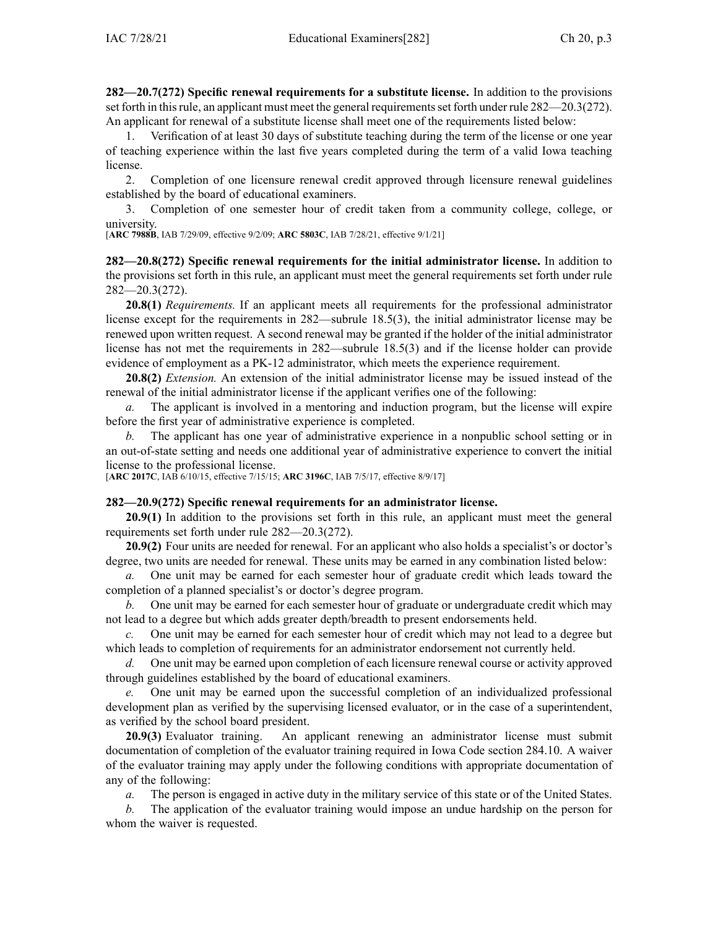**282—20.7(272) Specific renewal requirements for <sup>a</sup> substitute license.** In addition to the provisions set forth in this rule, an applicant must meet the general requirements set forth under rule [282—20.3](https://www.legis.iowa.gov/docs/iac/rule/282.20.3.pdf)(272). An applicant for renewal of <sup>a</sup> substitute license shall meet one of the requirements listed below:

1. Verification of at least 30 days of substitute teaching during the term of the license or one year of teaching experience within the last five years completed during the term of <sup>a</sup> valid Iowa teaching license.

2. Completion of one licensure renewal credit approved through licensure renewal guidelines established by the board of educational examiners.

3. Completion of one semester hour of credit taken from <sup>a</sup> community college, college, or university.

[**ARC [7988B](https://www.legis.iowa.gov/docs/aco/arc/7988B.pdf)**, IAB 7/29/09, effective 9/2/09; **ARC [5803C](https://www.legis.iowa.gov/docs/aco/arc/5803C.pdf)**, IAB 7/28/21, effective 9/1/21]

**282—20.8(272) Specific renewal requirements for the initial administrator license.** In addition to the provisions set forth in this rule, an applicant must meet the general requirements set forth under rule [282—20.3](https://www.legis.iowa.gov/docs/iac/rule/282.20.3.pdf)(272).

**20.8(1)** *Requirements.* If an applicant meets all requirements for the professional administrator license excep<sup>t</sup> for the requirements in [282—subrule](https://www.legis.iowa.gov/docs/iac/rule/282.18.4.pdf) 18.5(3), the initial administrator license may be renewed upon written request. A second renewal may be granted if the holder of the initial administrator license has not met the requirements in [282—subrule](https://www.legis.iowa.gov/docs/iac/rule/282.18.4.pdf) 18.5(3) and if the license holder can provide evidence of employment as <sup>a</sup> PK-12 administrator, which meets the experience requirement.

**20.8(2)** *Extension.* An extension of the initial administrator license may be issued instead of the renewal of the initial administrator license if the applicant verifies one of the following:

*a.* The applicant is involved in <sup>a</sup> mentoring and induction program, but the license will expire before the first year of administrative experience is completed.

*b.* The applicant has one year of administrative experience in <sup>a</sup> nonpublic school setting or in an out-of-state setting and needs one additional year of administrative experience to convert the initial license to the professional license.

[**ARC [2017C](https://www.legis.iowa.gov/docs/aco/arc/2017C.pdf)**, IAB 6/10/15, effective 7/15/15; **ARC [3196C](https://www.legis.iowa.gov/docs/aco/arc/3196C.pdf)**, IAB 7/5/17, effective 8/9/17]

### **282—20.9(272) Specific renewal requirements for an administrator license.**

**20.9(1)** In addition to the provisions set forth in this rule, an applicant must meet the general requirements set forth under rule [282—20.3](https://www.legis.iowa.gov/docs/iac/rule/282.20.3.pdf)(272).

**20.9(2)** Four units are needed for renewal. For an applicant who also holds <sup>a</sup> specialist's or doctor's degree, two units are needed for renewal. These units may be earned in any combination listed below:

*a.* One unit may be earned for each semester hour of graduate credit which leads toward the completion of <sup>a</sup> planned specialist's or doctor's degree program.

*b.* One unit may be earned for each semester hour of graduate or undergraduate credit which may not lead to <sup>a</sup> degree but which adds greater depth/breadth to presen<sup>t</sup> endorsements held.

*c.* One unit may be earned for each semester hour of credit which may not lead to <sup>a</sup> degree but which leads to completion of requirements for an administrator endorsement not currently held.

*d.* One unit may be earned upon completion of each licensure renewal course or activity approved through guidelines established by the board of educational examiners.

*e.* One unit may be earned upon the successful completion of an individualized professional development plan as verified by the supervising licensed evaluator, or in the case of <sup>a</sup> superintendent, as verified by the school board president.

**20.9(3)** Evaluator training. An applicant renewing an administrator license must submit documentation of completion of the evaluator training required in Iowa Code section [284.10](https://www.legis.iowa.gov/docs/ico/section/284.10.pdf). A waiver of the evaluator training may apply under the following conditions with appropriate documentation of any of the following:

*a.* The person is engaged in active duty in the military service of this state or of the United States.

*b.* The application of the evaluator training would impose an undue hardship on the person for whom the waiver is requested.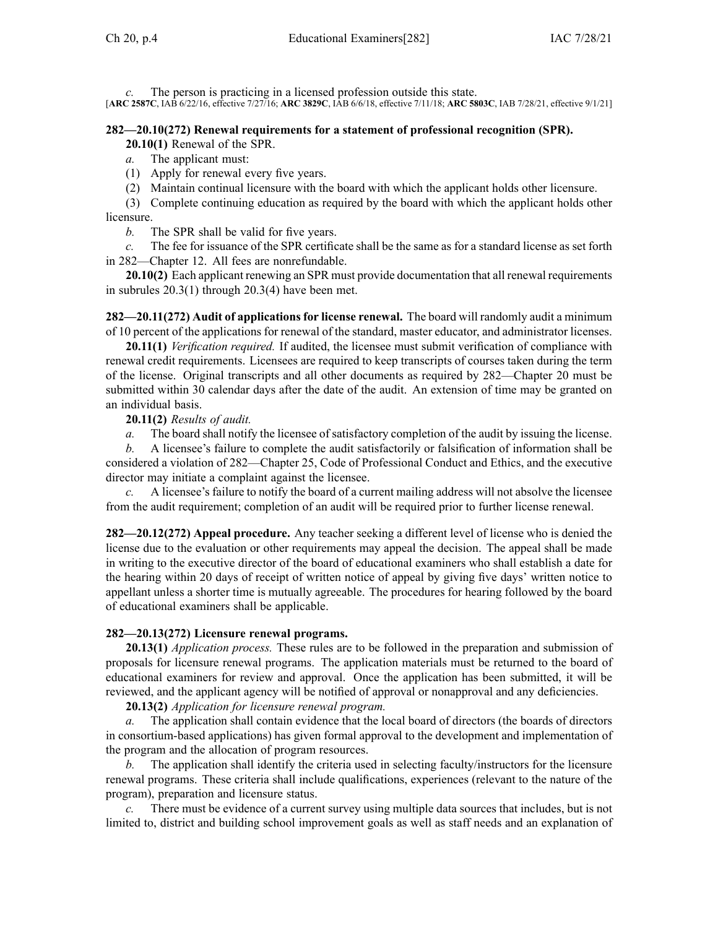*c.* The person is practicing in <sup>a</sup> licensed profession outside this state. [**ARC [2587C](https://www.legis.iowa.gov/docs/aco/arc/2587C.pdf)**, IAB 6/22/16, effective 7/27/16; **ARC [3829C](https://www.legis.iowa.gov/docs/aco/arc/3829C.pdf)**, IAB 6/6/18, effective 7/11/18; **ARC [5803C](https://www.legis.iowa.gov/docs/aco/arc/5803C.pdf)**, IAB 7/28/21, effective 9/1/21]

### **282—20.10(272) Renewal requirements for <sup>a</sup> statement of professional recognition (SPR).**

**20.10(1)** Renewal of the SPR.

*a.* The applicant must:

(1) Apply for renewal every five years.

(2) Maintain continual licensure with the board with which the applicant holds other licensure.

(3) Complete continuing education as required by the board with which the applicant holds other licensure.

*b.* The SPR shall be valid for five years.

*c.* The fee for issuance of the SPR certificate shall be the same as for <sup>a</sup> standard license as set forth in [282—Chapter](https://www.legis.iowa.gov/docs/iac/chapter/282.12.pdf) 12. All fees are nonrefundable.

**20.10(2)** Each applicant renewing an SPR must provide documentation that all renewal requirements in subrules [20.3\(1\)](https://www.legis.iowa.gov/docs/iac/rule/282.20.3.pdf) through [20.3\(4\)](https://www.legis.iowa.gov/docs/iac/rule/282.20.3.pdf) have been met.

**282—20.11(272) Audit of applications for license renewal.** The board will randomly audit <sup>a</sup> minimum of 10 percen<sup>t</sup> of the applications for renewal of the standard, master educator, and administrator licenses.

**20.11(1)** *Verification required.* If audited, the licensee must submit verification of compliance with renewal credit requirements. Licensees are required to keep transcripts of courses taken during the term of the license. Original transcripts and all other documents as required by [282—Chapter](https://www.legis.iowa.gov/docs/iac/chapter/282.20.pdf) 20 must be submitted within 30 calendar days after the date of the audit. An extension of time may be granted on an individual basis.

**20.11(2)** *Results of audit.*

*a.* The board shall notify the licensee of satisfactory completion of the audit by issuing the license.

*b.* A licensee's failure to complete the audit satisfactorily or falsification of information shall be considered <sup>a</sup> violation of [282—Chapter](https://www.legis.iowa.gov/docs/iac/chapter/282.25.pdf) 25, Code of Professional Conduct and Ethics, and the executive director may initiate <sup>a</sup> complaint against the licensee.

*c.* A licensee's failure to notify the board of <sup>a</sup> current mailing address will not absolve the licensee from the audit requirement; completion of an audit will be required prior to further license renewal.

**282—20.12(272) Appeal procedure.** Any teacher seeking <sup>a</sup> different level of license who is denied the license due to the evaluation or other requirements may appeal the decision. The appeal shall be made in writing to the executive director of the board of educational examiners who shall establish <sup>a</sup> date for the hearing within 20 days of receipt of written notice of appeal by giving five days' written notice to appellant unless <sup>a</sup> shorter time is mutually agreeable. The procedures for hearing followed by the board of educational examiners shall be applicable.

### **282—20.13(272) Licensure renewal programs.**

**20.13(1)** *Application process.* These rules are to be followed in the preparation and submission of proposals for licensure renewal programs. The application materials must be returned to the board of educational examiners for review and approval. Once the application has been submitted, it will be reviewed, and the applicant agency will be notified of approval or nonapproval and any deficiencies.

**20.13(2)** *Application for licensure renewal program.*

*a.* The application shall contain evidence that the local board of directors (the boards of directors in consortium-based applications) has given formal approval to the development and implementation of the program and the allocation of program resources.

*b.* The application shall identify the criteria used in selecting faculty/instructors for the licensure renewal programs. These criteria shall include qualifications, experiences (relevant to the nature of the program), preparation and licensure status.

*c.* There must be evidence of <sup>a</sup> current survey using multiple data sources that includes, but is not limited to, district and building school improvement goals as well as staff needs and an explanation of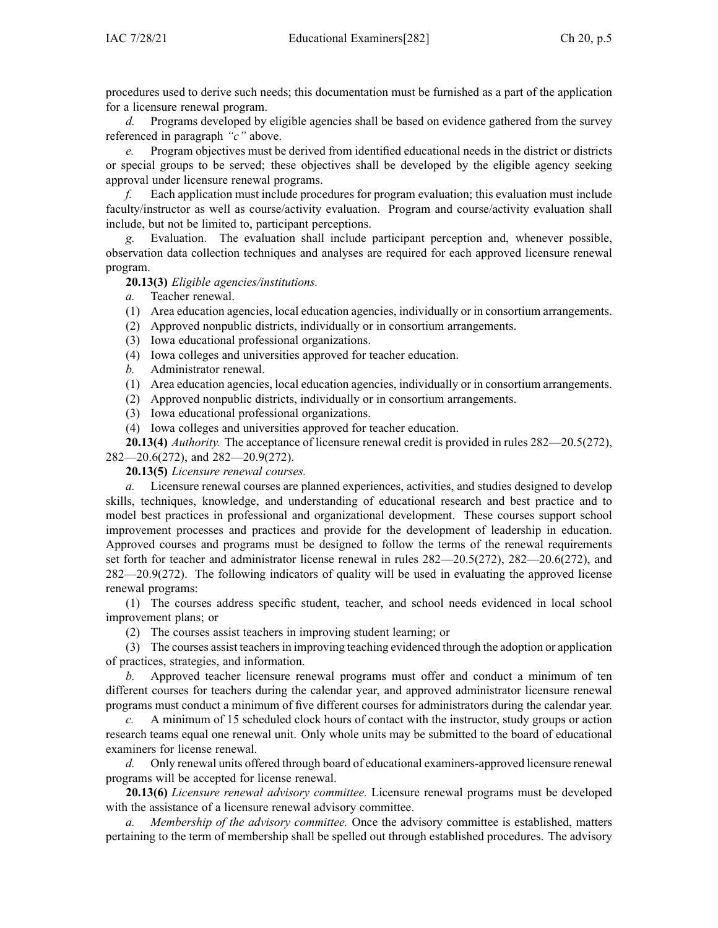procedures used to derive such needs; this documentation must be furnished as <sup>a</sup> par<sup>t</sup> of the application for <sup>a</sup> licensure renewal program.

*d.* Programs developed by eligible agencies shall be based on evidence gathered from the survey referenced in paragraph *"c"* above.

*e.* Program objectives must be derived from identified educational needs in the district or districts or special groups to be served; these objectives shall be developed by the eligible agency seeking approval under licensure renewal programs.

*f.* Each application must include procedures for program evaluation; this evaluation must include faculty/instructor as well as course/activity evaluation. Program and course/activity evaluation shall include, but not be limited to, participant perceptions.

Evaluation. The evaluation shall include participant perception and, whenever possible, observation data collection techniques and analyses are required for each approved licensure renewal program.

**20.13(3)** *Eligible agencies/institutions.*

*a.* Teacher renewal.

(1) Area education agencies, local education agencies, individually or in consortium arrangements.

- (2) Approved nonpublic districts, individually or in consortium arrangements.
- (3) Iowa educational professional organizations.
- (4) Iowa colleges and universities approved for teacher education.
- *b.* Administrator renewal.
- (1) Area education agencies, local education agencies, individually or in consortium arrangements.
- (2) Approved nonpublic districts, individually or in consortium arrangements.
- (3) Iowa educational professional organizations.
- (4) Iowa colleges and universities approved for teacher education.

**20.13(4)** *Authority.* The acceptance of licensure renewal credit is provided in rules [282—20.5](https://www.legis.iowa.gov/docs/iac/rule/282.20.5.pdf)(272), [282—20.6](https://www.legis.iowa.gov/docs/iac/rule/282.20.6.pdf)(272), and [282—20.9](https://www.legis.iowa.gov/docs/iac/rule/282.20.9.pdf)(272).

**20.13(5)** *Licensure renewal courses.*

*a.* Licensure renewal courses are planned experiences, activities, and studies designed to develop skills, techniques, knowledge, and understanding of educational research and best practice and to model best practices in professional and organizational development. These courses suppor<sup>t</sup> school improvement processes and practices and provide for the development of leadership in education. Approved courses and programs must be designed to follow the terms of the renewal requirements set forth for teacher and administrator license renewal in rules [282—20.5](https://www.legis.iowa.gov/docs/iac/rule/282.20.5.pdf)(272), [282—20.6](https://www.legis.iowa.gov/docs/iac/rule/282.20.6.pdf)(272), and [282—20.9](https://www.legis.iowa.gov/docs/iac/rule/282.20.9.pdf)(272). The following indicators of quality will be used in evaluating the approved license renewal programs:

(1) The courses address specific student, teacher, and school needs evidenced in local school improvement plans; or

(2) The courses assist teachers in improving student learning; or

(3) The courses assist teachersin improving teaching evidenced through the adoption or application of practices, strategies, and information.

*b.* Approved teacher licensure renewal programs must offer and conduct <sup>a</sup> minimum of ten different courses for teachers during the calendar year, and approved administrator licensure renewal programs must conduct <sup>a</sup> minimum of five different courses for administrators during the calendar year.

*c.* A minimum of 15 scheduled clock hours of contact with the instructor, study groups or action research teams equal one renewal unit. Only whole units may be submitted to the board of educational examiners for license renewal.

*d.* Only renewal units offered through board of educational examiners-approved licensure renewal programs will be accepted for license renewal.

**20.13(6)** *Licensure renewal advisory committee.* Licensure renewal programs must be developed with the assistance of <sup>a</sup> licensure renewal advisory committee.

*a. Membership of the advisory committee.* Once the advisory committee is established, matters pertaining to the term of membership shall be spelled out through established procedures. The advisory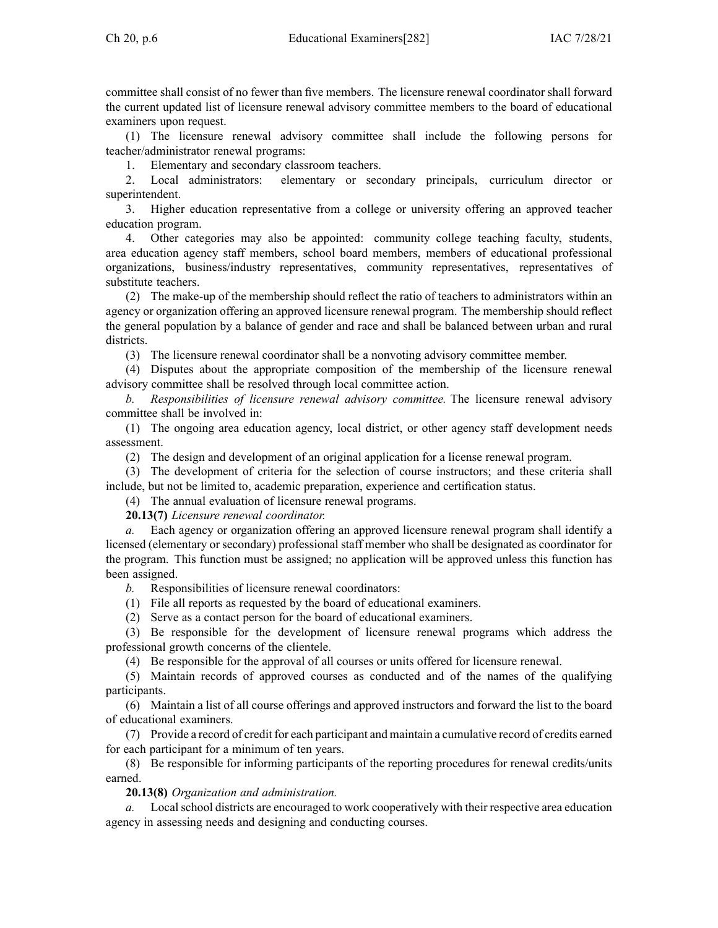committee shall consist of no fewer than five members. The licensure renewal coordinator shall forward the current updated list of licensure renewal advisory committee members to the board of educational examiners upon request.

(1) The licensure renewal advisory committee shall include the following persons for teacher/administrator renewal programs:

1. Elementary and secondary classroom teachers.

2. Local administrators: elementary or secondary principals, curriculum director or superintendent.

3. Higher education representative from <sup>a</sup> college or university offering an approved teacher education program.

4. Other categories may also be appointed: community college teaching faculty, students, area education agency staff members, school board members, members of educational professional organizations, business/industry representatives, community representatives, representatives of substitute teachers.

(2) The make-up of the membership should reflect the ratio of teachers to administrators within an agency or organization offering an approved licensure renewal program. The membership should reflect the general population by <sup>a</sup> balance of gender and race and shall be balanced between urban and rural districts.

(3) The licensure renewal coordinator shall be <sup>a</sup> nonvoting advisory committee member.

(4) Disputes about the appropriate composition of the membership of the licensure renewal advisory committee shall be resolved through local committee action.

*b. Responsibilities of licensure renewal advisory committee.* The licensure renewal advisory committee shall be involved in:

(1) The ongoing area education agency, local district, or other agency staff development needs assessment.

(2) The design and development of an original application for <sup>a</sup> license renewal program.

(3) The development of criteria for the selection of course instructors; and these criteria shall include, but not be limited to, academic preparation, experience and certification status.

(4) The annual evaluation of licensure renewal programs.

**20.13(7)** *Licensure renewal coordinator.*

*a.* Each agency or organization offering an approved licensure renewal program shall identify <sup>a</sup> licensed (elementary or secondary) professional staff member who shall be designated as coordinator for the program. This function must be assigned; no application will be approved unless this function has been assigned.

*b.* Responsibilities of licensure renewal coordinators:

(1) File all reports as requested by the board of educational examiners.

(2) Serve as <sup>a</sup> contact person for the board of educational examiners.

(3) Be responsible for the development of licensure renewal programs which address the professional growth concerns of the clientele.

(4) Be responsible for the approval of all courses or units offered for licensure renewal.

(5) Maintain records of approved courses as conducted and of the names of the qualifying participants.

(6) Maintain <sup>a</sup> list of all course offerings and approved instructors and forward the list to the board of educational examiners.

(7) Provide <sup>a</sup> record of credit for each participant and maintain <sup>a</sup> cumulative record of credits earned for each participant for <sup>a</sup> minimum of ten years.

(8) Be responsible for informing participants of the reporting procedures for renewal credits/units earned.

## **20.13(8)** *Organization and administration.*

*a.* Localschool districts are encouraged to work cooperatively with their respective area education agency in assessing needs and designing and conducting courses.